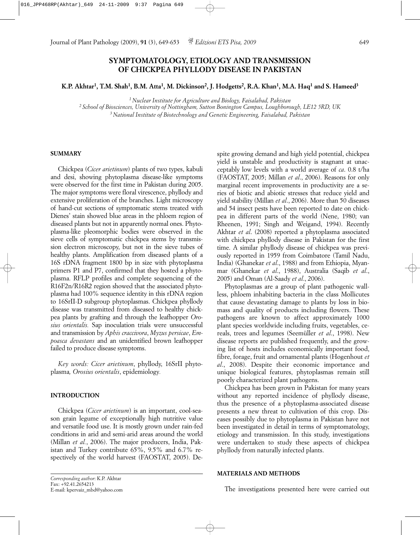**K.P. Akhtar1, T.M. Shah1, B.M. Atta1, M. Dickinson2, J. Hodgetts2, R.A. Khan1, M.A. Haq1 and S. Hameed3**

*1 Nuclear Institute for Agriculture and Biology, Faisalabad, Pakistan*

*2 School of Biosciences, University of Nottingham, Sutton Bonington Campus, Loughborough, LE12 5RD, UK 3 National Institute of Biotechnology and Genetic Engineering, Faisalabad, Pakistan*

## **SUMMARY**

Chickpea (*Cicer arietinum*) plants of two types, kabuli and desi, showing phytoplasma disease-like symptoms were observed for the first time in Pakistan during 2005. The major symptoms were floral virescence, phyllody and extensive proliferation of the branches. Light microscopy of hand-cut sections of symptomatic stems treated with Dienes' stain showed blue areas in the phloem region of diseased plants but not in apparently normal ones. Phytoplasma-like pleomorphic bodies were observed in the sieve cells of symptomatic chickpea stems by transmission electron microscopy, but not in the sieve tubes of healthy plants. Amplification from diseased plants of a 16S rDNA fragment 1800 bp in size with phytoplasma primers P1 and P7, confirmed that they hosted a phytoplasma. RFLP profiles and complete sequencing of the R16F2n/R16R2 region showed that the associated phytoplasma had 100% sequence identity in this rDNA region to 16SrII-D subgroup phytoplasmas. Chickpea phyllody disease was transmitted from diseased to healthy chickpea plants by grafting and through the leafhopper *Orosius orientalis.* Sap inoculation trials were unsuccessful and transmission by *Aphis craccivora*, *Myzus persicae*, *Empoasca devastans* and an unidentified brown leafhopper failed to produce disease symptoms.

*Key words: Cicer arietinum*, phyllody, 16SrII phytoplasma*, Orosius orientalis*, epidemiology*.*

#### **INTRODUCTION**

Chickpea (*Cicer arietinum*) is an important, cool-season grain legume of exceptionally high nutritive value and versatile food use. It is mostly grown under rain-fed conditions in arid and semi-arid areas around the world (Millan *et al.*, 2006). The major producers, India, Pakistan and Turkey contribute 65%, 9.5% and 6.7% respectively of the world harvest (FAOSTAT, 2005). Despite growing demand and high yield potential, chickpea yield is unstable and productivity is stagnant at unacceptably low levels with a world average of *ca*. 0.8 t/ha (FAOSTAT, 2005; Millan *et al*., 2006). Reasons for only marginal recent improvements in productivity are a series of biotic and abiotic stresses that reduce yield and yield stability (Millan *et al*., 2006). More than 50 diseases and 54 insect pests have been reported to date on chickpea in different parts of the world (Nene, 1980; van Rheenen, 1991; Singh and Weigand, 1994). Recently Akhtar *et al*. (2008) reported a phytoplasma associated with chickpea phyllody disease in Pakistan for the first time. A similar phyllody disease of chickpea was previously reported in 1959 from Coimbatore (Tamil Nadu, India) (Ghanekar *et al*., 1988) and from Ethiopia, Myanmar (Ghanekar *et al*., 1988), Australia (Saqib *et al*., 2005) and Oman (Al-Saady *et al*., 2006).

Phytoplasmas are a group of plant pathogenic wallless, phloem inhabiting bacteria in the class Mollicutes that cause devastating damage to plants by loss in biomass and quality of products including flowers. These pathogens are known to affect approximately 1000 plant species worldwide including fruits, vegetables, cereals, trees and legumes (Seemüller *et al*., 1998). New disease reports are published frequently, and the growing list of hosts includes economically important food, fibre, forage, fruit and ornamental plants (Hogenhout *et al*., 2008). Despite their economic importance and unique biological features, phytoplasmas remain still poorly characterized plant pathogens.

Chickpea has been grown in Pakistan for many years without any reported incidence of phyllody disease, thus the presence of a phytoplasma-associated disease presents a new threat to cultivation of this crop. Diseases possibly due to phytoplasma in Pakistan have not been investigated in detail in terms of symptomatology, etiology and transmission. In this study, investigations were undertaken to study these aspects of chickpea phyllody from naturally infected plants.

#### **MATERIALS AND METHODS**

The investigations presented here were carried out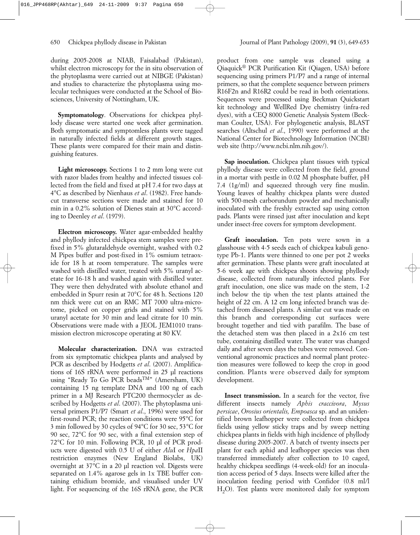during 2005-2008 at NIAB, Faisalabad (Pakistan), whilst electron microscopy for the in situ observation of the phytoplasma were carried out at NIBGE (Pakistan) and studies to characterize the phytoplasma using molecular techniques were conducted at the School of Biosciences, University of Nottingham, UK.

**Symptomatology**. Observations for chickpea phyllody disease were started one week after germination. Both symptomatic and symptomless plants were tagged in naturally infected fields at different growth stages. These plants were compared for their main and distinguishing features.

**Light microscopy.** Sections 1 to 2 mm long were cut with razor blades from healthy and infected tissues collected from the field and fixed at pH 7.4 for two days at 4°C as described by Nienhaus *et al*. (1982). Free handscut transverse sections were made and stained for 10 min in a 0.2% solution of Dienes stain at 30°C according to Deenley *et al*. (1979).

**Electron microscopy.** Water agar-embedded healthy and phyllody infected chickpea stem samples were prefixed in 5% glutaraldehyde overnight, washed with 0.2 M Pipes buffer and post-fixed in 1% osmium tetraoxide for 18 h at room temperature. The samples were washed with distilled water, treated with 5% uranyl acetate for 16-18 h and washed again with distilled water. They were then dehydrated with absolute ethanol and embedded in Spurr resin at 70°C for 48 h. Sections 120 nm thick were cut on an RMC MT 7000 ultra-microtome, picked on copper grids and stained with 5% uranyl acetate for 30 min and lead citrate for 10 min. Observations were made with a JEOL JEM1010 transmission electron microscope operating at 80 KV.

**Molecular characterization.** DNA was extracted from six symptomatic chickpea plants and analysed by PCR as described by Hodgetts *et al*. (2007). Amplifications of 16S rRNA were performed in 25 µl reactions using "Ready To Go PCR beadsTM" (Amersham, UK) containing 15 ng template DNA and 100 ng of each primer in a MJ Research PTC200 thermocycler as described by Hodgetts *et al*. (2007). The phytoplasma universal primers P1/P7 (Smart *et al*., 1996) were used for first-round PCR; the reaction conditions were 95°C for 3 min followed by 30 cycles of 94°C for 30 sec, 53°C for 90 sec, 72°C for 90 sec, with a final extension step of 72°C for 10 min. Following PCR, 10 µl of PCR products were digested with 0.5 U of either *Alu*I or *Hpa*II restriction enzymes (New England Biolabs, UK) overnight at 37°C in a 20 µl reaction vol. Digests were separated on 1.4% agarose gels in 1x TBE buffer containing ethidium bromide, and visualised under UV light. For sequencing of the 16S rRNA gene, the PCR product from one sample was cleaned using a Qiaquick® PCR Purification Kit (Qiagen, USA) before sequencing using primers P1/P7 and a range of internal primers, so that the complete sequence between primers R16F2n and R16R2 could be read in both orientations. Sequences were processed using Beckman Quickstart kit technology and WellRed Dye chemistry (infra-red dyes), with a CEQ 8000 Genetic Analysis System (Beckman Coulter, USA). For phylogenetic analysis, BLAST searches (Altschul *et al*., 1990) were performed at the National Center for Biotechnology Information (NCBI) web site (http://www.ncbi.nlm.nih.gov/).

**Sap inoculation.** Chickpea plant tissues with typical phyllody disease were collected from the field, ground in a mortar with pestle in 0.02 M phosphate buffer, pH 7.4 (1g/ml) and squeezed through very fine muslin. Young leaves of healthy chickpea plants were dusted with 500-mesh carborundum powder and mechanically inoculated with the freshly extracted sap using cotton pads. Plants were rinsed just after inoculation and kept under insect-free covers for symptom development.

Graft inoculation. Ten pots were sown in a glasshouse with 4-5 seeds each of chickpea kabuli genotype Pb-1. Plants were thinned to one per pot 2 weeks after germination. These plants were graft inoculated at 5-6 week age with chickpea shoots showing phyllody disease, collected from naturally infected plants. For graft inoculation, one slice was made on the stem, 1-2 inch below the tip when the test plants attained the height of 22 cm. A 12 cm long infected branch was detached from diseased plants. A similar cut was made on this branch and corresponding cut surfaces were brought together and tied with parafilm. The base of the detached stem was then placed in a 2x16 cm test tube, containing distilled water. The water was changed daily and after seven days the tubes were removed. Conventional agronomic practices and normal plant protection measures were followed to keep the crop in good condition. Plants were observed daily for symptom development.

**Insect transmission.** In a search for the vector, five different insects namely *Aphis craccivora*, *Mysus persicae*, *Orosius orientalis, Empoasca* sp. and an unidentified brown leafhopper were collected from chickpea fields using yellow sticky traps and by sweep netting chickpea plants in fields with high incidence of phyllody disease during 2005-2007. A batch of twenty insects per plant for each aphid and leafhopper species was then transferred immediately after collection to 10 caged, healthy chickpea seedlings (4-week-old) for an inoculation access period of 5 days. Insects were killed after the inoculation feeding period with Confidor (0.8 ml/l H<sub>2</sub>O). Test plants were monitored daily for symptom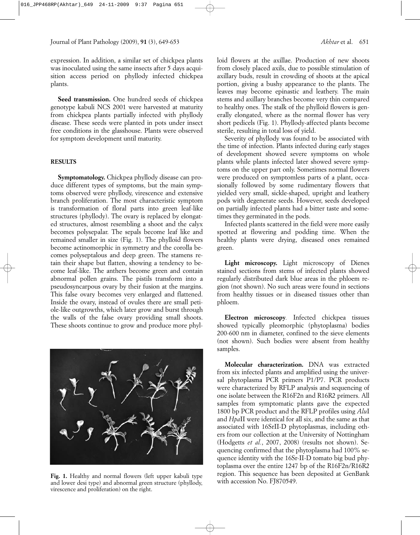expression. In addition, a similar set of chickpea plants was inoculated using the same insects after 5 days acquisition access period on phyllody infected chickpea plants.

Seed transmission. One hundred seeds of chickpea genotype kabuli NCS 2001 were harvested at maturity from chickpea plants partially infected with phyllody disease. These seeds were planted in pots under insect free conditions in the glasshouse. Plants were observed for symptom development until maturity.

# **RESULTS**

**Symptomatology.** Chickpea phyllody disease can produce different types of symptoms, but the main symptoms observed were phyllody, virescence and extensive branch proliferation. The most characteristic symptom is transformation of floral parts into green leaf-like structures (phyllody). The ovary is replaced by elongated structures, almost resembling a shoot and the calyx becomes polysepalar. The sepals become leaf like and remained smaller in size (Fig. 1). The phylloid flowers become actinomorphic in symmetry and the corolla becomes polyseptalous and deep green. The stamens retain their shape but flatten, showing a tendency to become leaf-like. The anthers become green and contain abnormal pollen grains. The pistils transform into a pseudosyncarpous ovary by their fusion at the margins. This false ovary becomes very enlarged and flattened. Inside the ovary, instead of ovules there are small petiole-like outgrowths, which later grow and burst through the walls of the false ovary providing small shoots. These shoots continue to grow and produce more phyl-



**Fig. 1.** Healthy and normal flowers (left upper kabuli type and lower desi type) and abnormal green structure (phyllody, virescence and proliferation) on the right.

loid flowers at the axillae. Production of new shoots from closely placed axils, due to possible stimulation of axillary buds, result in crowding of shoots at the apical portion, giving a bushy appearance to the plants. The leaves may become epinastic and leathery. The main stems and axillary branches become very thin compared to healthy ones. The stalk of the phylloid flowers is generally elongated, where as the normal flower has very short pedicels (Fig. 1). Phyllody-affected plants become sterile, resulting in total loss of yield.

Severity of phyllody was found to be associated with the time of infection. Plants infected during early stages of development showed severe symptoms on whole plants while plants infected later showed severe symptoms on the upper part only. Sometimes normal flowers were produced on symptomless parts of a plant, occasionally followed by some rudimentary flowers that yielded very small, sickle-shaped, upright and leathery pods with degenerate seeds. However, seeds developed on partially infected plants had a bitter taste and sometimes they germinated in the pods.

Infected plants scattered in the field were more easily spotted at flowering and podding time. When the healthy plants were drying, diseased ones remained green.

**Light microscopy.** Light microscopy of Dienes stained sections from stems of infected plants showed regularly distributed dark blue areas in the phloem region (not shown). No such areas were found in sections from healthy tissues or in diseased tissues other than phloem.

**Electron microscopy***.* Infected chickpea tissues showed typically pleomorphic (phytoplasma) bodies 200-600 nm in diameter, confined to the sieve elements (not shown). Such bodies were absent from healthy samples.

**Molecular characterization.** DNA was extracted from six infected plants and amplified using the universal phytoplasma PCR primers P1/P7. PCR products were characterized by RFLP analysis and sequencing of one isolate between the R16F2n and R16R2 primers. All samples from symptomatic plants gave the expected 1800 bp PCR product and the RFLP profiles using *Alu*I and *Hpa*II were identical for all six, and the same as that associated with 16SrII-D phytoplasmas, including others from our collection at the University of Nottingham (Hodgetts *et al.*, 2007, 2008) (results not shown). Sequencing confirmed that the phytoplasma had 100% sequence identity with the 16Sr-II-D tomato big bud phytoplasma over the entire 1247 bp of the R16F2n/R16R2 region. This sequence has been deposited at GenBank with accession No. FJ870549.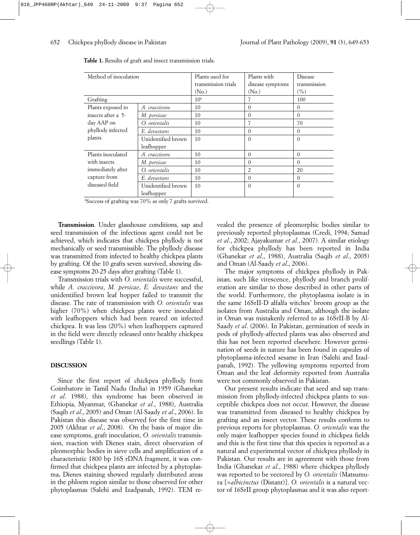| Method of inoculation                                 |                    | Plants used for     | Plants with       | Disease      |
|-------------------------------------------------------|--------------------|---------------------|-------------------|--------------|
|                                                       |                    | transmission trials | disease symptoms  | transmission |
|                                                       |                    | (N <sub>o</sub> )   | (N <sub>o</sub> ) | (%)          |
| Grafting                                              |                    | 10 <sup>a</sup>     |                   | 100          |
| Plants exposed to                                     | A. craccivora      | 10                  | $\theta$          | 0            |
| insects after a 5-<br>day AAP on<br>phyllody infected | M. persicae        | 10                  | $\Omega$          | $\Omega$     |
|                                                       | O. orientalis      | 10                  | 7                 | 70           |
|                                                       | E. devastans       | 10                  | $\Omega$          | $\Omega$     |
| plants                                                | Unidentified brown | 10                  | $\Omega$          | $\Omega$     |
|                                                       | leafhopper         |                     |                   |              |
| Plants inoculated                                     | A. craccivora      | 10                  | $\Omega$          | 0            |
| with insects<br>immediately after<br>capture from     | M. persicae        | 10                  | $\Omega$          | $\Omega$     |
|                                                       | O. orientalis      | 10                  | $\overline{2}$    | 20           |
|                                                       | E. devastans       | 10                  | $\Omega$          | $\Omega$     |
| diseased field                                        | Unidentified brown | 10                  | $\Omega$          | $\Omega$     |
|                                                       | leafhopper         |                     |                   |              |

**Table 1.** Results of graft and insect transmission trials.

a Success of grafting was 70% as only 7 grafts survived.

**Transmission**. Under glasshouse conditions, sap and seed transmission of the infectious agent could not be achieved, which indicates that chickpea phyllody is not mechanically or seed transmissible. The phyllody disease was transmitted from infected to healthy chickpea plants by grafting. Of the 10 grafts seven survived, showing disease symptoms 20-25 days after grafting (Table 1).

Transmission trials with *O. orientalis* were successful, while *A. craccivora*, *M. persicae*, *E. devastans* and the unidentified brown leaf hopper failed to transmit the disease. The rate of transmission with *O. orientalis* was higher (70%) when chickpea plants were inoculated with leafhoppers which had been reared on infected chickpea. It was less (20%) when leafhoppers captured in the field were directly released onto healthy chickpea seedlings (Table 1).

## **DISCUSSION**

Since the first report of chickpea phyllody from Coimbatore in Tamil Nadu (India) in 1959 (Ghanekar *et al*. 1988), this syndrome has been observed in Ethiopia, Myanmar, (Ghanekar *et al*., 1988), Australia (Saqib *et al*., 2005) and Oman (Al-Saady *et al*., 2006). In Pakistan this disease was observed for the first time in 2005 (Akhtar *et al*., 2008). On the basis of major disease symptoms, graft inoculation, *O. orientalis* transmission, reaction with Dienes stain, direct observation of pleomorphic bodies in sieve cells and amplification of a characteristic 1800 bp 16S rDNA fragment, it was confirmed that chickpea plants are infected by a phytoplasma**.** Dienes staining showed regularly distributed areas in the phloem region similar to those observed for other phytoplasmas (Salehi and Izadpanah, 1992). TEM revealed the presence of pleomorphic bodies similar to previously reported phytoplasmas (Credi, 1994; Samad *et al*., 2002; Ajayakumar *et al*., 2007). A similar etiology for chickpea phyllody has been reported in India (Ghanekar *et al*., 1988), Australia (Saqib *et al*., 2005) and Oman (Al-Saady *et al*., 2006).

The major symptoms of chickpea phyllody in Pakistan, such like virescence, phyllody and branch proliferation are similar to those described in other parts of the world. Furthermore, the phytoplasma isolate is in the same 16SrII-D alfalfa witches' broom group as the isolates from Australia and Oman, although the isolate in Oman was mistakenly referred to as 16SrII-B by Al-Saady *et al*. (2006). In Pakistan, germination of seeds in pods of phyllody-affected plants was also observed and this has not been reported elsewhere. However germination of seeds in nature has been found in capsules of phytoplasma-infected sesame in Iran (Salehi and Izadpanah, 1992). The yellowing symptoms reported from Oman and the leaf deformity reported from Australia were not commonly observed in Pakistan.

Our present results indicate that seed and sap transmission from phyllody-infected chickpea plants to susceptible chickpea does not occur. However, the disease was transmitted from diseased to healthy chickpea by grafting and an insect vector. These results conform to previous reports for phytoplasmas. *O. orientalis* was the only major leafhopper species found in chickpea fields and this is the first time that this species is reported as a natural and experimental vector of chickpea phyllody in Pakistan. Our results are in agreement with those from India (Ghanekar *et al*., 1988) where chickpea phyllody was reported to be vectored by *O. orientalis* (Matsumura [=*albicinctus* (Distant)]. *O. orientalis* is a natural vector of 16SrII group phytoplasmas and it was also report-